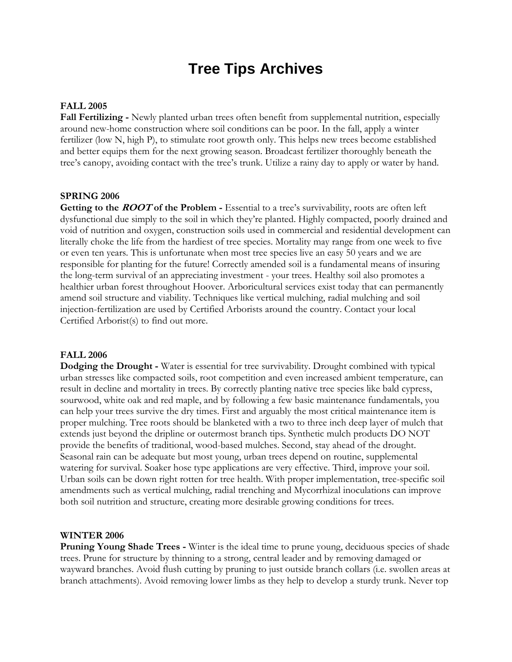# **Tree Tips Archives**

### **FALL 2005**

**Fall Fertilizing -** Newly planted urban trees often benefit from supplemental nutrition, especially around new-home construction where soil conditions can be poor. In the fall, apply a winter fertilizer (low N, high P), to stimulate root growth only. This helps new trees become established and better equips them for the next growing season. Broadcast fertilizer thoroughly beneath the tree's canopy, avoiding contact with the tree's trunk. Utilize a rainy day to apply or water by hand.

#### **SPRING 2006**

**Getting to the ROOT of the Problem -** Essential to a tree's survivability, roots are often left dysfunctional due simply to the soil in which they're planted. Highly compacted, poorly drained and void of nutrition and oxygen, construction soils used in commercial and residential development can literally choke the life from the hardiest of tree species. Mortality may range from one week to five or even ten years. This is unfortunate when most tree species live an easy 50 years and we are responsible for planting for the future! Correctly amended soil is a fundamental means of insuring the long-term survival of an appreciating investment - your trees. Healthy soil also promotes a healthier urban forest throughout Hoover. Arboricultural services exist today that can permanently amend soil structure and viability. Techniques like vertical mulching, radial mulching and soil injection-fertilization are used by Certified Arborists around the country. Contact your local Certified Arborist(s) to find out more.

#### **FALL 2006**

**Dodging the Drought -** Water is essential for tree survivability. Drought combined with typical urban stresses like compacted soils, root competition and even increased ambient temperature, can result in decline and mortality in trees. By correctly planting native tree species like bald cypress, sourwood, white oak and red maple, and by following a few basic maintenance fundamentals, you can help your trees survive the dry times. First and arguably the most critical maintenance item is proper mulching. Tree roots should be blanketed with a two to three inch deep layer of mulch that extends just beyond the dripline or outermost branch tips. Synthetic mulch products DO NOT provide the benefits of traditional, wood-based mulches. Second, stay ahead of the drought. Seasonal rain can be adequate but most young, urban trees depend on routine, supplemental watering for survival. Soaker hose type applications are very effective. Third, improve your soil. Urban soils can be down right rotten for tree health. With proper implementation, tree-specific soil amendments such as vertical mulching, radial trenching and Mycorrhizal inoculations can improve both soil nutrition and structure, creating more desirable growing conditions for trees.

#### **WINTER 2006**

**Pruning Young Shade Trees -** Winter is the ideal time to prune young, deciduous species of shade trees. Prune for structure by thinning to a strong, central leader and by removing damaged or wayward branches. Avoid flush cutting by pruning to just outside branch collars (i.e. swollen areas at branch attachments). Avoid removing lower limbs as they help to develop a sturdy trunk. Never top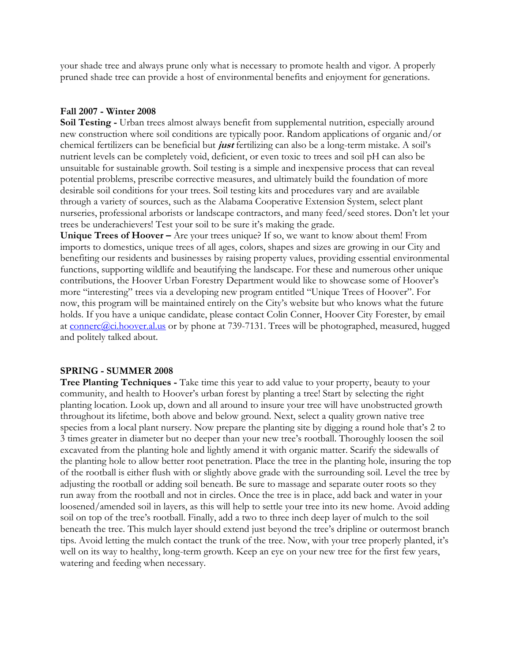your shade tree and always prune only what is necessary to promote health and vigor. A properly pruned shade tree can provide a host of environmental benefits and enjoyment for generations.

## **Fall 2007 - Winter 2008**

**Soil Testing -** Urban trees almost always benefit from supplemental nutrition, especially around new construction where soil conditions are typically poor. Random applications of organic and/or chemical fertilizers can be beneficial but **just** fertilizing can also be a long-term mistake. A soil's nutrient levels can be completely void, deficient, or even toxic to trees and soil pH can also be unsuitable for sustainable growth. Soil testing is a simple and inexpensive process that can reveal potential problems, prescribe corrective measures, and ultimately build the foundation of more desirable soil conditions for your trees. Soil testing kits and procedures vary and are available through a variety of sources, such as the Alabama Cooperative Extension System, select plant nurseries, professional arborists or landscape contractors, and many feed/seed stores. Don't let your trees be underachievers! Test your soil to be sure it's making the grade.

**Unique Trees of Hoover –** Are your trees unique? If so, we want to know about them! From imports to domestics, unique trees of all ages, colors, shapes and sizes are growing in our City and benefiting our residents and businesses by raising property values, providing essential environmental functions, supporting wildlife and beautifying the landscape. For these and numerous other unique contributions, the Hoover Urban Forestry Department would like to showcase some of Hoover's more "interesting" trees via a developing new program entitled "Unique Trees of Hoover". For now, this program will be maintained entirely on the City's website but who knows what the future holds. If you have a unique candidate, please contact Colin Conner, Hoover City Forester, by email at [connerc@ci.hoover.al.us](mailto:connerc@ci.hoover.al.us) or by phone at 739-7131. Trees will be photographed, measured, hugged and politely talked about.

# **SPRING - SUMMER 2008**

**Tree Planting Techniques -** Take time this year to add value to your property, beauty to your community, and health to Hoover's urban forest by planting a tree! Start by selecting the right planting location. Look up, down and all around to insure your tree will have unobstructed growth throughout its lifetime, both above and below ground. Next, select a quality grown native tree species from a local plant nursery. Now prepare the planting site by digging a round hole that's 2 to 3 times greater in diameter but no deeper than your new tree's rootball. Thoroughly loosen the soil excavated from the planting hole and lightly amend it with organic matter. Scarify the sidewalls of the planting hole to allow better root penetration. Place the tree in the planting hole, insuring the top of the rootball is either flush with or slightly above grade with the surrounding soil. Level the tree by adjusting the rootball or adding soil beneath. Be sure to massage and separate outer roots so they run away from the rootball and not in circles. Once the tree is in place, add back and water in your loosened/amended soil in layers, as this will help to settle your tree into its new home. Avoid adding soil on top of the tree's rootball. Finally, add a two to three inch deep layer of mulch to the soil beneath the tree. This mulch layer should extend just beyond the tree's dripline or outermost branch tips. Avoid letting the mulch contact the trunk of the tree. Now, with your tree properly planted, it's well on its way to healthy, long-term growth. Keep an eye on your new tree for the first few years, watering and feeding when necessary.